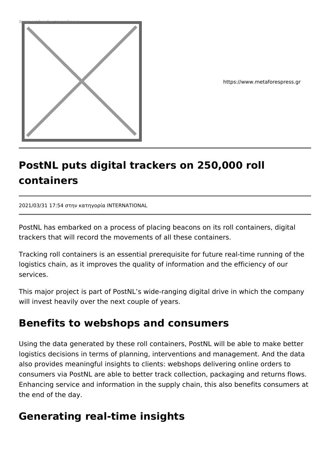

https://www.metaforespress.gr

## **PostNL puts digital trackers on 250,000 roll containers**

2021/03/31 17:54 στην κατηγορία INTERNATIONAL

PostNL has embarked on a process of placing beacons on its roll containers, digital trackers that will record the movements of all these containers.

Tracking roll containers is an essential prerequisite for future real-time running of the logistics chain, as it improves the quality of information and the efficiency of our services.

This major project is part of PostNL's wide-ranging digital drive in which the company will invest heavily over the next couple of years.

## **Benefits to webshops and consumers**

Using the data generated by these roll containers, PostNL will be able to make better logistics decisions in terms of planning, interventions and management. And the data also provides meaningful insights to clients: webshops delivering online orders to consumers via PostNL are able to better track collection, packaging and returns flows. Enhancing service and information in the supply chain, this also benefits consumers at the end of the day.

## **Generating real-time insights**